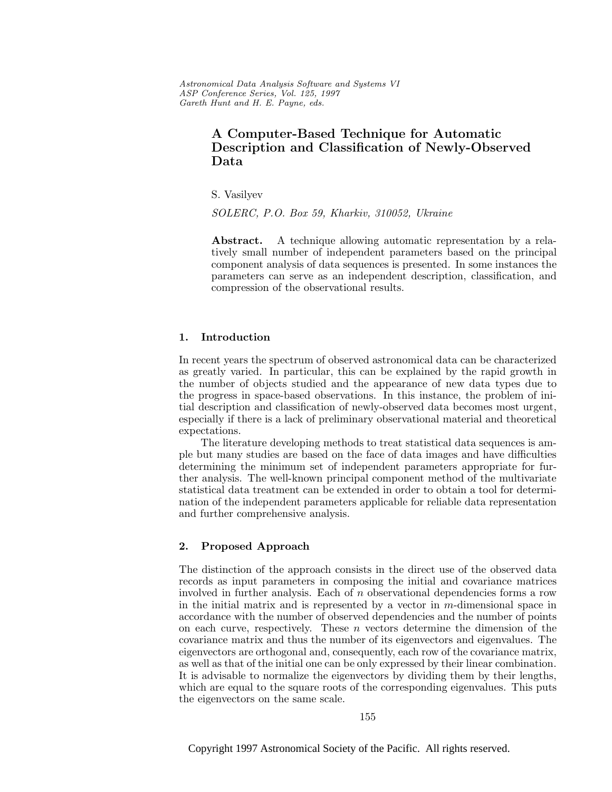Astronomical Data Analysis Software and Systems VI ASP Conference Series, Vol. 125, 1997 Gareth Hunt and H. E. Payne, e ds.

# **A Computer-Based Technique for Automatic Description and Classification of Newly-Observed Data**

S. Vasilyev

SOLERC, P.O. Box 59, Kharkiv, 310052, Ukraine

**Abstract.** A technique allowing automatic representation by a relatively small number of independent parameters based on the principal component analysis of data sequences is presented. In some instances the parameters can serve as an independent description, classification, and compression of the observational results.

#### **1. Introduction**

In recent years the spectrum of observed astronomical data can be characterized as greatly varied. In particular, this can be explained by the rapid growth in the number of objects studied and the appearance of new data types due to the progress in space-based observations. In this instance, the problem of initial description and classification of newly-observed data becomes most urgent, especially if there is a lack of preliminary observational material and theoretical expectations.

The literature developing methods to treat statistical data sequences is ample but many studies are based on the face of data images and have difficulties determining the minimum set of independent parameters appropriate for further analysis. The well-known principal component method of the multivariate statistical data treatment can be extended in order to obtain a tool for determination of the independent parameters applicable for reliable data representation and further comprehensive analysis.

## **2. Proposed Approach**

The distinction of the approach consists in the direct use of the observed data records as input parameters in composing the initial and covariance matrices involved in further analysis. Each of n observational dependencies forms a row in the initial matrix and is represented by a vector in  $m$ -dimensional space in accordance with the number of observed dependencies and the number of points on each curve, respectively. These  $n$  vectors determine the dimension of the covariance matrix and thus the number of its eigenvectors and eigenvalues. The eigenvectors are orthogonal and, consequently, each row of the covariance matrix, as well as that of the initial one can be only expressed by their linear combination. It is advisable to normalize the eigenvectors by dividing them by their lengths, which are equal to the square roots of the corresponding eigenvalues. This puts the eigenvectors on the same scale.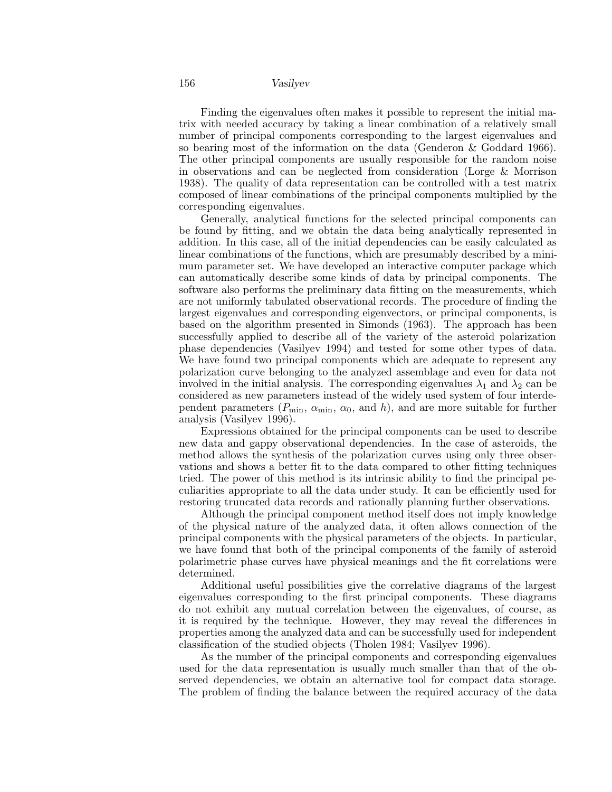156 *Vasilyev*

Finding the eigenvalues often makes it possible to represent the initial matrix with needed accuracy by taking a linear combination of a relatively small number of principal components corresponding to the largest eigenvalues and so bearing most of the information on the data (Genderon & Goddard 1966). The other principal components are usually responsible for the random noise in observations and can be neglected from consideration (Lorge & Morrison 1938). The quality of data representation can be controlled with a test matrix composed of linear combinations of the principal components multiplied by the corresponding eigenvalues.

Generally, analytical functions for the selected principal components can be found by fitting, and we obtain the data being analytically represented in addition. In this case, all of the initial dependencies can be easily calculated as linear combinations of the functions, which are presumably described by a minimum parameter set. We have developed an interactive computer package which can automatically describe some kinds of data by principal components. The software also performs the preliminary data fitting on the measurements, which are not uniformly tabulated observational records. The procedure of finding the largest eigenvalues and corresponding eigenvectors, or principal components, is based on the algorithm presented in Simonds (1963). The approach has been successfully applied to describe all of the variety of the asteroid polarization phase dependencies (Vasilyev 1994) and tested for some other types of data. We have found two principal components which are adequate to represent any polarization curve belonging to the analyzed assemblage and even for data not involved in the initial analysis. The corresponding eigenvalues  $\lambda_1$  and  $\lambda_2$  can be considered as new parameters instead of the widely used system of four interdependent parameters  $(P_{\min}, \alpha_{\min}, \alpha_0, \text{ and } h)$ , and are more suitable for further analysis (Vasilyev 1996).

Expressions obtained for the principal components can be used to describe new data and gappy observational dependencies. In the case of asteroids, the method allows the synthesis of the polarization curves using only three observations and shows a better fit to the data compared to other fitting techniques tried. The power of this method is its intrinsic ability to find the principal peculiarities appropriate to all the data under study. It can be efficiently used for restoring truncated data records and rationally planning further observations.

Although the principal component method itself does not imply knowledge of the physical nature of the analyzed data, it often allows connection of the principal components with the physical parameters of the objects. In particular, we have found that both of the principal components of the family of asteroid polarimetric phase curves have physical meanings and the fit correlations were determined.

Additional useful possibilities give the correlative diagrams of the largest eigenvalues corresponding to the first principal components. These diagrams do not exhibit any mutual correlation between the eigenvalues, of course, as it is required by the technique. However, they may reveal the differences in properties among the analyzed data and can be successfully used for independent classification of the studied objects (Tholen 1984; Vasilyev 1996).

As the number of the principal components and corresponding eigenvalues used for the data representation is usually much smaller than that of the observed dependencies, we obtain an alternative tool for compact data storage. The problem of finding the balance between the required accuracy of the data